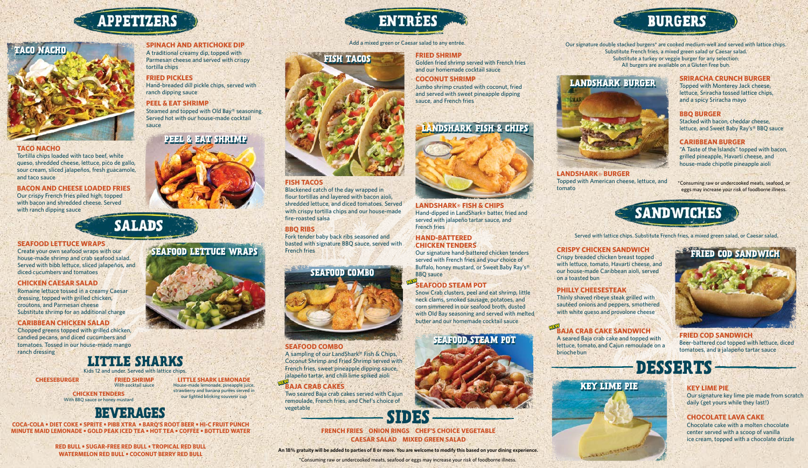### **SEAFOOD LETTUCE WRAPS**

Create your own seafood wraps with our house-made shrimp and crab seafood salad. Served with bibb lettuce, sliced jalapeños, and diced cucumbers and tomatoes

## **CHICKEN CAESAR SALAD**

Romaine lettuce tossed in a creamy Caesar dressing, topped with grilled chicken, croutons, and Parmesan cheese Substitute shrimp for an additional charge

## **CARIBBEAN CHICKEN SALAD**

Chopped greens topped with grilled chicken, candied pecans, and diced cucumbers and tomatoes. Tossed in our house-made mango ranch dressing

# LITTLE SHARKS

## **SPINACH AND ARTICHOKE DIP**

A traditional creamy dip, topped with Parmesan cheese and served with crispy tortilla chips

### **FRIED PICKLES**

Hand-breaded dill pickle chips, served with ranch dipping sauce

## **PEEL & EAT SHRIMP**

Steamed and topped with Old Bay® seasoning. Served hot with our house-made cocktail sauce

### **TACO NACHO**

Tortilla chips loaded with taco beef, white queso, shredded cheese, lettuce, pico de gallo, sour cream, sliced jalapeños, fresh guacamole, and taco sauce

### **BACON AND CHEESE LOADED FRIES**

Our crispy French fries piled high, topped with bacon and shredded cheese. Served with ranch dipping sauce

# **SALADS**

## **FRIED SHRIMP**

Golden fried shrimp served with French fries and our homemade cocktail sauce

# **COCONUT SHRIMP**

Jumbo shrimp crusted with coconut, fried and served with sweet pineapple dipping sauce, and French fries

# **LANDSHARK® FISH & CHIPS**

Hand-dipped in LandShark® batter, fried and served with jalapeño tartar sauce, and French fries

Our signature hand-battered chicken tenders served with French fries and your choice of Buffalo, honey mustard, or Sweet Baby Ray's® BBQ sauce

Snow Crab clusters, peel and eat shrimp, little neck clams, smoked sausage, potatoes, and corn simmered in our seafood broth, dusted with Old Bay seasoning and served with melted butter and our homemade cocktail sauce

#### Add a mixed green or Caesar salad to any entrée.

# **FISH TACOS**

Blackened catch of the day wrapped in flour tortillas and layered with bacon aioli, shredded lettuce, and diced tomatoes. Served with crispy tortilla chips and our house-made fire-roasted salsa

# **BBQ RIBS**

Fork tender baby back ribs seasoned and basted with signature BBQ sauce, served with French fries

# **SEAFOOD COMBO**

A sampling of our LandShark® Fish & Chips, Coconut Shrimp and Fried Shrimp served with French fries, sweet pineapple dipping sauce, jalapeño tartar, and chili lime spiked aioli

Two seared Baja crab cakes served with Cajun remoulade, French fries, and Chef's choice of vegetable

# **SRIRACHA CRUNCH BURGER**

Topped with Monterey Jack cheese, lettuce, Sriracha tossed lattice chips, and a spicy Sriracha mayo

# **BBQ BURGER**

## **HAND-BATTERED CHICKEN TENDERS** ®

Stacked with bacon, cheddar cheese, lettuce, and Sweet Baby Ray's® BBQ sauce

# **CARIBBEAN BURGER**

"A Taste of the Islands" topped with bacon, grilled pineapple, Havarti cheese, and house-made chipotle pineapple aioli

# **CRISPY CHICKEN SANDWICH**

Crispy breaded chicken breast topped with lettuce, tomato, Havarti cheese, and our house-made Caribbean aioli, served on a toasted bun

## **PHILLY CHEESESTEAK**

Thinly shaved ribeye steak grilled with sautéed onions and peppers, smothered with white queso and provolone cheese

A seared Baja crab cake and topped with lettuce, tomato, and Cajun remoulade on a brioche bun

# **SEAFOOD STEAM POT NEW**

**FRIED COD SANDWICH** Beer-battered cod topped with lettuce, diced tomatoes, and a jalapeño tartar sauce

**DESSERTS** 

Served with lattice chips. Substitute French fries, a mixed green salad, or Caesar salad.

Our signature double stacked burgers\* are cooked medium-well and served with lattice chips. Substitute French fries, a mixed green salad or Caesar salad. Substitute a turkey or veggie burger for any selection. All burgers are available on a Gluten Free bun.

# **LANDSHARK BURGER**



#### **BAJA CRAB CAKES NEW**

# **LANDSHARK**® **BURGER**

Topped with American cheese, lettuce, and tomato

# **FRENCH FRIES ONION RINGS CHEF'S CHOICE VEGETABLE CAESAR SALAD MIXED GREEN SALAD**

\*Consuming raw or undercooked meats, seafood or eggs may increase your risk of foodborne illness. **An 18% gratuity will be added to parties of 8 or more. You are welcome to modify this based on your dining experience.**



#### **BAJA CRAB CAKE SANDWICH NEW**

\*Consuming raw or undercooked meats, seafood, or eggs may increase your risk of foodborne illness.



# **BEVERAGES**

**COCA-COLA • DIET COKE • SPRITE • PIBB XTRA • BARQ'S ROOT BEER • HI-C FRUIT PUNCH MINUTE MAID LEMONADE • GOLD PEAK ICED TEA • HOT TEA • COFFEE • BOTTLED WATER**

> **RED BULL • SUGAR-FREE RED BULL • TROPICAL RED BULL WATERMELON RED BULL • COCONUT BERRY RED BULL**

# **APPETIZERS**



# **PEEL & EAT SHRIMP**

# **KEY LIME PIE**

Our signature key lime pie made from scratch daily (get yours while they last!)

# **CHOCOLATE LAVA CAKE**

Chocolate cake with a molten chocolate center served with a scoop of vanilla ice cream, topped with a chocolate drizzle

# **KEY LIME PIE**



# **SEAFOOD LETTUCE WRAPS**





# **SEAFOOD COMBO**



# **SEAFOOD STEAM POT**

# **BURGERS**







**LITTLE SHARK LEMONADE** House-made lemonade, pineapple juice, strawberry and banana purées served in our lighted blinking souvenir cup



**CHEESEBURGER**

**CHICKEN TENDERS** With BBQ sauce or honey mustard

**FRIED SHRIMP** With cocktail sauce

Kids 12 and under. Served with lattice chips.